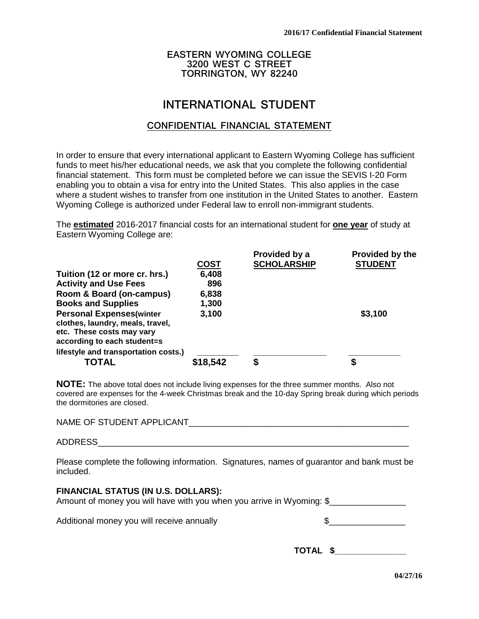## **EASTERN WYOMING COLLEGE 3200 WEST C STREET TORRINGTON, WY 82240**

# **INTERNATIONAL STUDENT**

## **CONFIDENTIAL FINANCIAL STATEMENT**

In order to ensure that every international applicant to Eastern Wyoming College has sufficient funds to meet his/her educational needs, we ask that you complete the following confidential financial statement. This form must be completed before we can issue the SEVIS I-20 Form enabling you to obtain a visa for entry into the United States. This also applies in the case where a student wishes to transfer from one institution in the United States to another. Eastern Wyoming College is authorized under Federal law to enroll non-immigrant students.

The **estimated** 2016-2017 financial costs for an international student for **one year** of study at Eastern Wyoming College are:

|                                                                                                                                 |             | Provided by a      | Provided by the |
|---------------------------------------------------------------------------------------------------------------------------------|-------------|--------------------|-----------------|
|                                                                                                                                 | <b>COST</b> | <b>SCHOLARSHIP</b> | <b>STUDENT</b>  |
| Tuition (12 or more cr. hrs.)                                                                                                   | 6,408       |                    |                 |
| <b>Activity and Use Fees</b>                                                                                                    | 896         |                    |                 |
| Room & Board (on-campus)                                                                                                        | 6,838       |                    |                 |
| <b>Books and Supplies</b>                                                                                                       | 1,300       |                    |                 |
| <b>Personal Expenses(winter</b><br>clothes, laundry, meals, travel,<br>etc. These costs may vary<br>according to each student=s | 3,100       |                    | \$3,100         |
| lifestyle and transportation costs.)<br>TOTAL                                                                                   | \$18,542    | \$                 |                 |

**NOTE:** The above total does not include living expenses for the three summer months. Also not covered are expenses for the 4-week Christmas break and the 10-day Spring break during which periods the dormitories are closed.

NAME OF STUDENT APPLICANT

ADDRESS\_\_\_\_\_\_\_\_\_\_\_\_\_\_\_\_\_\_\_\_\_\_\_\_\_\_\_\_\_\_\_\_\_\_\_\_\_\_\_\_\_\_\_\_\_\_\_\_\_\_\_\_\_\_\_\_\_\_\_\_\_\_\_\_\_

Please complete the following information. Signatures, names of guarantor and bank must be included.

## **FINANCIAL STATUS (IN U.S. DOLLARS):**

Amount of money you will have with you when you arrive in Wyoming: \$

Additional money you will receive annually

 **TOTAL \$\_\_\_\_\_\_\_\_\_\_\_\_\_\_\_**